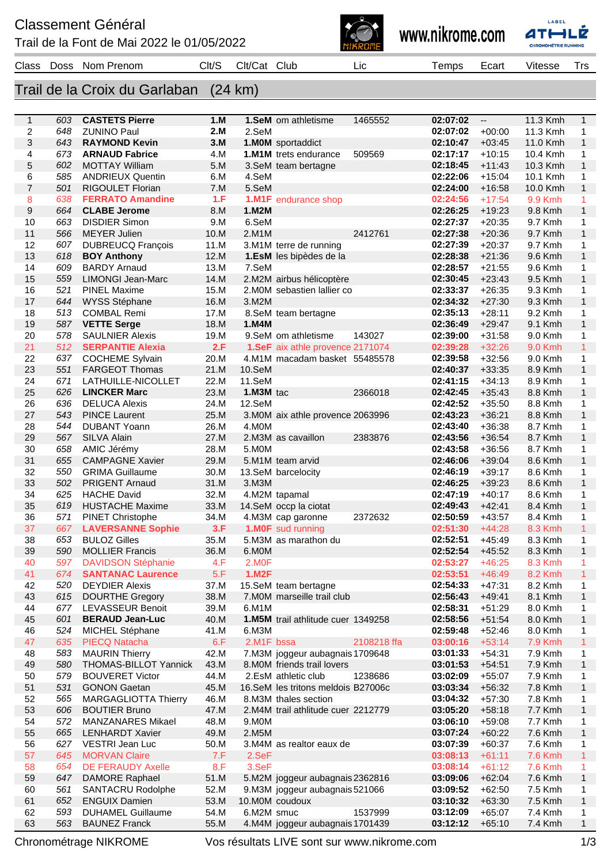Trail de la Font de Mai 2022 le 01/05/2022







Chronométrage NIKROME Vos résultats LIVE sont sur www.nikrome.com 1/3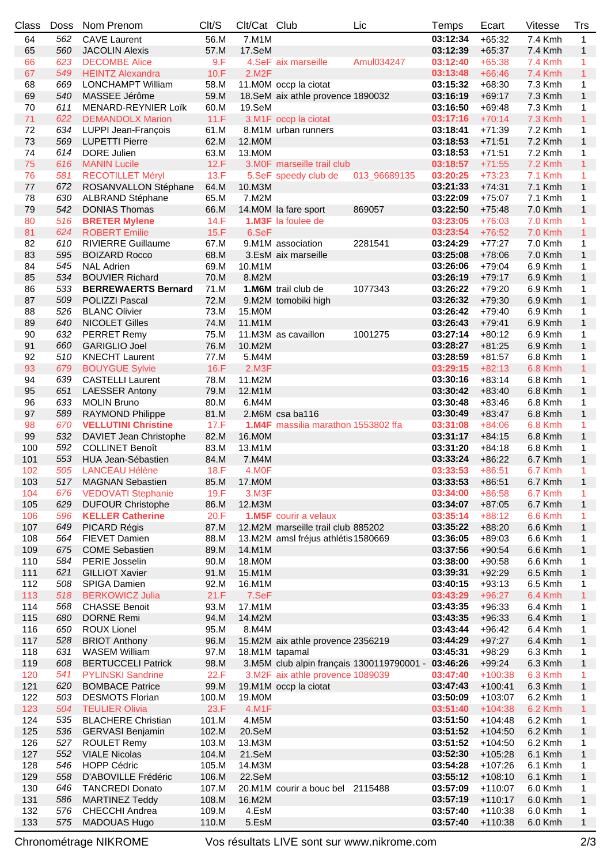| Class | <b>Doss</b> | Nom Prenom                 | Clt/S | Clt/Cat Club       |                                           | Lic          | Temps    | Ecart     | Vitesse        | Trs          |
|-------|-------------|----------------------------|-------|--------------------|-------------------------------------------|--------------|----------|-----------|----------------|--------------|
| 64    | 562         | <b>CAVE Laurent</b>        | 56.M  | 7.M1M              |                                           |              | 03:12:34 | $+65:32$  | 7.4 Kmh        | $\mathbf{1}$ |
| 65    | 560         | <b>JACOLIN Alexis</b>      | 57.M  | 17.SeM             |                                           |              | 03:12:39 | $+65:37$  | 7.4 Kmh        | $\mathbf{1}$ |
| 66    | 623         | <b>DECOMBE Alice</b>       | 9.F   |                    | 4.SeF aix marseille                       | Amul034247   | 03:12:40 | $+65:38$  | 7.4 Kmh        | 1            |
| 67    | 549         | <b>HEINTZ Alexandra</b>    | 10.F  | 2.M2F              |                                           |              | 03:13:48 | $+66:46$  | <b>7.4 Kmh</b> | $\mathbf{1}$ |
| 68    | 669         | <b>LONCHAMPT William</b>   | 58.M  |                    | 11.M0M occp la ciotat                     |              | 03:15:32 | $+68:30$  | 7.3 Kmh        | 1            |
| 69    | 540         | MASSEE Jérôme              | 59.M  |                    | 18.SeM aix athle provence 1890032         |              | 03:16:19 | $+69:17$  | 7.3 Kmh        | $\mathbf{1}$ |
| 70    | 611         | MENARD-REYNIER Loïk        | 60.M  | 19.SeM             |                                           |              | 03:16:50 | $+69:48$  | 7.3 Kmh        | 1            |
| 71    | 622         | <b>DEMANDOLX Marion</b>    | 11.F  |                    | 3.M1F occp la ciotat                      |              | 03:17:16 | $+70:14$  | <b>7.3 Kmh</b> | $\mathbf{1}$ |
| 72    |             |                            |       |                    |                                           |              | 03:18:41 |           |                |              |
|       | 634         | LUPPI Jean-François        | 61.M  |                    | 8.M1M urban runners                       |              |          | $+71:39$  | 7.2 Kmh        | 1            |
| 73    | 569         | <b>LUPETTI Pierre</b>      | 62.M  | 12.M0M             |                                           |              | 03:18:53 | $+71:51$  | 7.2 Kmh        | $\mathbf{1}$ |
| 74    | 614         | DORE Julien                | 63.M  | 13.M0M             |                                           |              | 03:18:53 | $+71:51$  | 7.2 Kmh        | 1            |
| 75    | 616         | <b>MANIN Lucile</b>        | 12.F  |                    | 3. MOF marseille trail club               |              | 03:18:57 | $+71:55$  | <b>7.2 Kmh</b> | 1            |
| 76    | 581         | <b>RECOTILLET Méryl</b>    | 13.F  |                    | 5.SeF speedy club de                      | 013_96689135 | 03:20:25 | $+73:23$  | 7.1 Kmh        | 1            |
| 77    | 672         | ROSANVALLON Stéphane       | 64.M  | 10.M3M             |                                           |              | 03:21:33 | $+74:31$  | 7.1 Kmh        | $\mathbf{1}$ |
| 78    | 630         | ALBRAND Stéphane           | 65.M  | 7.M2M              |                                           |              | 03:22:09 | $+75:07$  | 7.1 Kmh        | 1            |
| 79    | 542         | <b>DONIAS Thomas</b>       | 66.M  |                    | 14.M0M la fare sport                      | 869057       | 03:22:50 | $+75:48$  | 7.0 Kmh        | $\mathbf{1}$ |
| 80    | 516         | <b>BRETER Mylene</b>       | 14.F  |                    | <b>1.M3F</b> la foulee de                 |              | 03:23:05 | $+76:03$  | 7.0 Kmh        | 1            |
| 81    | 624         | <b>ROBERT Emilie</b>       | 15.F  | 6.SeF              |                                           |              | 03:23:54 | $+76:52$  | 7.0 Kmh        | 1            |
| 82    | 610         | <b>RIVIERRE Guillaume</b>  | 67.M  |                    | 9.M1M association                         | 2281541      | 03:24:29 | $+77:27$  | 7.0 Kmh        | 1            |
| 83    | 595         | <b>BOIZARD Rocco</b>       | 68.M  |                    | 3.EsM aix marseille                       |              | 03:25:08 | $+78:06$  | 7.0 Kmh        | $\mathbf{1}$ |
| 84    | 545         | <b>NAL Adrien</b>          | 69.M  | 10.M1M             |                                           |              | 03:26:06 | $+79:04$  | 6.9 Kmh        | 1            |
| 85    | 534         | <b>BOUVIER Richard</b>     | 70.M  | 8.M2M              |                                           |              | 03:26:19 | $+79:17$  | 6.9 Kmh        | $\mathbf{1}$ |
| 86    | 533         | <b>BERREWAERTS Bernard</b> | 71.M  |                    | 1.M6M trail club de                       | 1077343      | 03:26:22 | $+79:20$  | 6.9 Kmh        | 1            |
| 87    | 509         | POLIZZI Pascal             | 72.M  |                    | 9.M2M tomobiki high                       |              | 03:26:32 | $+79:30$  | 6.9 Kmh        | $\mathbf{1}$ |
| 88    | 526         | <b>BLANC Olivier</b>       | 73.M  | 15.M0M             |                                           |              | 03:26:42 | $+79:40$  | 6.9 Kmh        | 1            |
| 89    | 640         | <b>NICOLET Gilles</b>      | 74.M  | 11.M1M             |                                           |              | 03:26:43 | $+79:41$  | 6.9 Kmh        | $\mathbf{1}$ |
| 90    | 632         | PERRET Remy                | 75.M  |                    | 11.M3M as cavaillon                       | 1001275      | 03:27:14 | $+80:12$  | 6.9 Kmh        | 1            |
| 91    | 660         | <b>GARIGLIO Joel</b>       | 76.M  | 10.M2M             |                                           |              | 03:28:27 | $+81:25$  | 6.9 Kmh        | $\mathbf{1}$ |
|       |             |                            |       |                    |                                           |              |          |           |                |              |
| 92    | 510         | <b>KNECHT Laurent</b>      | 77.M  | 5.M4M              |                                           |              | 03:28:59 | $+81:57$  | 6.8 Kmh        | 1            |
| 93    | 679         | <b>BOUYGUE Sylvie</b>      | 16.F  | 2.M3F              |                                           |              | 03:29:15 | $+82:13$  | 6.8 Kmh        | $\mathbf{1}$ |
| 94    | 639         | <b>CASTELLI Laurent</b>    | 78.M  | 11.M2M             |                                           |              | 03:30:16 | $+83:14$  | 6.8 Kmh        | 1            |
| 95    | 651         | <b>LAESSER Antony</b>      | 79.M  | 12.M1M             |                                           |              | 03:30:42 | $+83:40$  | 6.8 Kmh        | $\mathbf{1}$ |
| 96    | 633         | <b>MOLIN Bruno</b>         | 80.M  | 6.M4M              |                                           |              | 03:30:48 | $+83:46$  | 6.8 Kmh        | 1            |
| 97    | 589         | <b>RAYMOND Philippe</b>    | 81.M  |                    | 2.M6M csa ba116                           |              | 03:30:49 | $+83:47$  | 6.8 Kmh        | $\mathbf{1}$ |
| 98    | 670         | <b>VELLUTINI Christine</b> | 17.F  |                    | 1.M4F massilia marathon 1553802 ffa       |              | 03:31:08 | $+84:06$  | 6.8 Kmh        | 1            |
| 99    | 532         | DAVIET Jean Christophe     | 82.M  | 16.M0M             |                                           |              | 03:31:17 | $+84:15$  | 6.8 Kmh        | $\mathbf{1}$ |
| 100   | 592         | <b>COLLINET Benoît</b>     | 83.M  | 13.M1M             |                                           |              | 03:31:20 | $+84:18$  | 6.8 Kmh        | 1            |
| 101   | 553         | HUA Jean-Sébastien         | 84.M  | 7.M4M              |                                           |              | 03:33:24 | $+86:22$  | 6.7 Kmh        | $\mathbf{1}$ |
| 102   | 505         | <b>LANCEAU Hélène</b>      | 18.F  | 4.MOF              |                                           |              | 03:33:53 | $+86:51$  | 6.7 Kmh        | 1            |
| 103   |             | 517 MAGNAN Sebastien       |       | 85.M 17.M0M        |                                           |              | 03:33:53 | $+86:51$  | 6.7 Kmh        | $\mathbf{1}$ |
| 104   | 676         | <b>VEDOVATI Stephanie</b>  | 19.F  | 3.M <sub>3</sub> F |                                           |              | 03:34:00 | $+86:58$  | 6.7 Kmh        | 1            |
| 105   | 629         | <b>DUFOUR Christophe</b>   | 86.M  | 12.M3M             |                                           |              | 03:34:07 | $+87:05$  | 6.7 Kmh        | 1            |
| 106   | 596         | <b>KELLER Catherine</b>    | 20.F  |                    | <b>1.M5F</b> courir a velaux              |              | 03:35:14 | $+88:12$  | 6.6 Kmh        | 1            |
| 107   | 649         | PICARD Régis               | 87.M  |                    | 12.M2M marseille trail club 885202        |              | 03:35:22 | $+88:20$  | 6.6 Kmh        | $\mathbf{1}$ |
| 108   | 564         | FIEVET Damien              | 88.M  |                    | 13.M2M amsl fréjus athlétis 1580669       |              | 03:36:05 | $+89:03$  | 6.6 Kmh        | 1            |
| 109   | 675         | <b>COME Sebastien</b>      | 89.M  | 14.M1M             |                                           |              | 03:37:56 | $+90:54$  | 6.6 Kmh        | $\mathbf{1}$ |
|       |             | PERIE Josselin             |       |                    |                                           |              |          |           |                |              |
| 110   | 584         |                            | 90.M  | 18.M0M             |                                           |              | 03:38:00 | $+90:58$  | 6.6 Kmh        | 1            |
| 111   | 621         | <b>GILLIOT Xavier</b>      | 91.M  | 15.M1M             |                                           |              | 03:39:31 | $+92:29$  | 6.5 Kmh        | $\mathbf{1}$ |
| 112   | 508         | <b>SPIGA Damien</b>        | 92.M  | 16.M1M             |                                           |              | 03:40:15 | $+93:13$  | 6.5 Kmh        | 1            |
| 113   | 518         | <b>BERKOWICZ Julia</b>     | 21.F  | 7.SeF              |                                           |              | 03:43:29 | $+96:27$  | 6.4 Kmh        | 1            |
| 114   | 568         | <b>CHASSE Benoit</b>       | 93.M  | 17.M1M             |                                           |              | 03:43:35 | $+96:33$  | 6.4 Kmh        | 1            |
| 115   | 680         | <b>DORNE Remi</b>          | 94.M  | 14.M2M             |                                           |              | 03:43:35 | $+96:33$  | 6.4 Kmh        | $\mathbf{1}$ |
| 116   | 650         | ROUX Lionel                | 95.M  | 8.M4M              |                                           |              | 03:43:44 | $+96:42$  | 6.4 Kmh        | 1            |
| 117   | 528         | <b>BRIOT Anthony</b>       | 96.M  |                    | 15.M2M aix athle provence 2356219         |              | 03:44:29 | $+97:27$  | 6.4 Kmh        | $\mathbf{1}$ |
| 118   | 631         | <b>WASEM William</b>       | 97.M  |                    | 18.M1M tapamal                            |              | 03:45:31 | $+98:29$  | 6.3 Kmh        | 1            |
| 119   | 608         | <b>BERTUCCELI Patrick</b>  | 98.M  |                    | 3.M5M club alpin français 1300119790001 - |              | 03:46:26 | $+99:24$  | 6.3 Kmh        | 1            |
| 120   | 541         | <b>PYLINSKI Sandrine</b>   | 22.F  |                    | 3.M2F aix athle provence 1089039          |              | 03:47:40 | $+100:38$ | 6.3 Kmh        | 1            |
| 121   | 620         | <b>BOMBACE Patrice</b>     | 99.M  |                    | 19.M1M occp la ciotat                     |              | 03:47:43 | $+100:41$ | 6.3 Kmh        | $\mathbf{1}$ |
| 122   | 503         | <b>DESMOTS Florian</b>     | 100.M | 19.M0M             |                                           |              | 03:50:09 | $+103:07$ | 6.2 Kmh        | 1            |
| 123   | 504         | <b>TEULIER Olivia</b>      | 23.F  | 4.M1F              |                                           |              | 03:51:40 | $+104:38$ | 6.2 Kmh        | 1            |
| 124   | 535         | <b>BLACHERE Christian</b>  | 101.M | 4.M5M              |                                           |              | 03:51:50 | $+104:48$ | 6.2 Kmh        | 1            |
| 125   | 536         | <b>GERVASI Benjamin</b>    | 102.M | 20.SeM             |                                           |              | 03:51:52 | $+104:50$ | 6.2 Kmh        | $\mathbf{1}$ |
| 126   | 527         | <b>ROULET Remy</b>         | 103.M | 13.M3M             |                                           |              | 03:51:52 | $+104:50$ | 6.2 Kmh        | 1            |
| 127   | 552         | <b>VIALE Nicolas</b>       | 104.M | 21.SeM             |                                           |              | 03:52:30 | $+105:28$ | 6.1 Kmh        | $\mathbf{1}$ |
| 128   | 546         | <b>HOPP Cédric</b>         | 105.M | 14.M3M             |                                           |              | 03:54:28 | $+107:26$ | 6.1 Kmh        | 1            |
| 129   | 558         | D'ABOVILLE Frédéric        | 106.M | 22.SeM             |                                           |              | 03:55:12 | $+108:10$ | 6.1 Kmh        | $\mathbf{1}$ |
| 130   | 646         | <b>TANCREDI Donato</b>     | 107.M |                    | 20.M1M courir a bouc bel 2115488          |              | 03:57:09 | $+110:07$ | 6.0 Kmh        | 1            |
| 131   | 586         | <b>MARTINEZ Teddy</b>      | 108.M | 16.M2M             |                                           |              | 03:57:19 | $+110:17$ | 6.0 Kmh        | $\mathbf{1}$ |
| 132   | 576         | CHECCHI Andrea             | 109.M | 4.EsM              |                                           |              | 03:57:40 | $+110:38$ | 6.0 Kmh        | 1            |
| 133   | 575         | <b>MADOUAS Hugo</b>        | 110.M | 5.EsM              |                                           |              | 03:57:40 | $+110:38$ | 6.0 Kmh        | $\mathbf{1}$ |
|       |             |                            |       |                    |                                           |              |          |           |                |              |

Chronométrage NIKROME Vos résultats LIVE sont sur www.nikrome.com 2/3